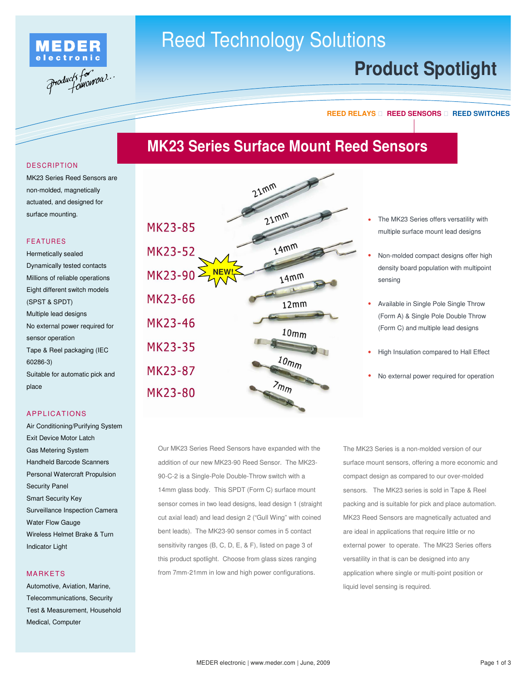

# Reed Technology Solutions

## **Product Spotlight**

#### **REED RELAYS REED SENSORS REED SWITCHES**

### **MK23 Series Surface Mount Reed Sensors**



- The MK23 Series offers versatility with  $\bullet$ multiple surface mount lead designs
- Non-molded compact designs offer high density board population with multipoint sensing
- Available in Single Pole Single Throw (Form A) & Single Pole Double Throw (Form C) and multiple lead designs
- High Insulation compared to Hall Effect
- No external power required for operation

Our MK23 Series Reed Sensors have expanded with the addition of our new MK23-90 Reed Sensor. The MK23- 90-C-2 is a Single-Pole Double-Throw switch with a 14mm glass body. This SPDT (Form C) surface mount sensor comes in two lead designs, lead design 1 (straight cut axial lead) and lead design 2 ("Gull Wing" with coined bent leads). The MK23-90 sensor comes in 5 contact sensitivity ranges (B, C, D, E, & F), listed on page 3 of this product spotlight. Choose from glass sizes ranging from 7mm-21mm in low and high power configurations.

The MK23 Series is a non-molded version of our surface mount sensors, offering a more economic and compact design as compared to our over-molded sensors. The MK23 series is sold in Tape & Reel packing and is suitable for pick and place automation. MK23 Reed Sensors are magnetically actuated and are ideal in applications that require little or no external power to operate. The MK23 Series offers versatility in that is can be designed into any application where single or multi-point position or liquid level sensing is required.

#### **DESCRIPTION**

MK23 Series Reed Sensors are non-molded, magnetically actuated, and designed for surface mounting.

#### FEATURES

Hermetically sealed Dynamically tested contacts Millions of reliable operations Eight different switch models (SPST & SPDT) Multiple lead designs No external power required for sensor operation Tape & Reel packaging (IEC 60286-3) Suitable for automatic pick and place

#### APPLICATIONS

Air Conditioning/Purifying System Exit Device Motor Latch Gas Metering System Handheld Barcode Scanners Personal Watercraft Propulsion Security Panel Smart Security Key Surveillance Inspection Camera Water Flow Gauge Wireless Helmet Brake & Turn Indicator Light

#### MARKETS

Automotive, Aviation, Marine, Telecommunications, Security Test & Measurement, Household Medical, Computer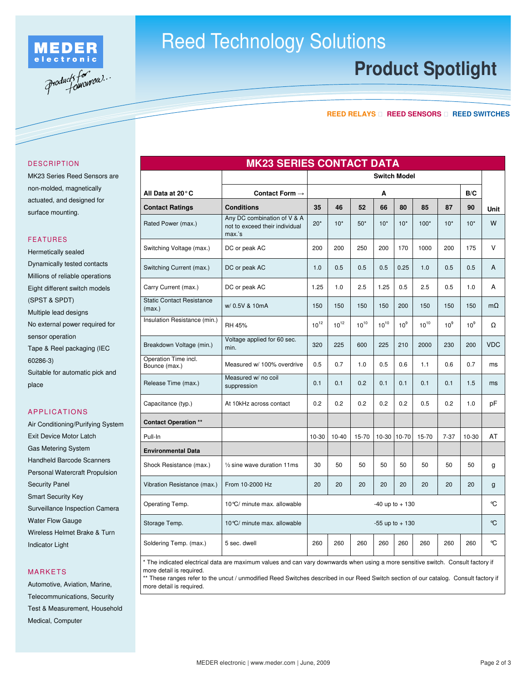

#### **REED RELAYS REED SENSORS REED SWITCHES**

#### **DESCRIPTION**

MK23 Series Reed Sensors are non-molded, magnetically actuated, and designed for surface mounting.

#### FEATURES

Hermetically sealed Dynamically tested contacts Millions of reliable operations Eight different switch models (SPST & SPDT) Multiple lead designs No external power required for sensor operation Tape & Reel packaging (IEC 60286-3) Suitable for automatic pick and place

#### APPLICATIONS

Air Conditioning/Purifying System Exit Device Motor Latch Gas Metering System Handheld Barcode Scanners Personal Watercraft Propulsion Security Panel Smart Security Key Surveillance Inspection Camera Water Flow Gauge Wireless Helmet Brake & Turn Indicator Light

|                                            | <b>MK23 SERIES CONTACT DATA</b>                                         |                     |                    |           |           |                 |           |                 |                 |            |
|--------------------------------------------|-------------------------------------------------------------------------|---------------------|--------------------|-----------|-----------|-----------------|-----------|-----------------|-----------------|------------|
|                                            |                                                                         | <b>Switch Model</b> |                    |           |           |                 |           |                 |                 |            |
| All Data at 20°C                           | Contact Form $\rightarrow$                                              |                     |                    |           | Α         |                 |           |                 | B/C             |            |
| <b>Contact Ratings</b>                     | <b>Conditions</b>                                                       | 35                  | 46                 | 52        | 66        | 80              | 85        | 87              | 90              | Unit       |
| Rated Power (max.)                         | Any DC combination of V & A<br>not to exceed their individual<br>max.'s | $20*$               | $10*$              | $50*$     | $10*$     | $10*$           | $100*$    | $10*$           | $10*$           | W          |
| Switching Voltage (max.)                   | DC or peak AC                                                           | 200                 | 200                | 250       | 200       | 170             | 1000      | 200             | 175             | V          |
| Switching Current (max.)                   | DC or peak AC                                                           | 1.0                 | 0.5                | 0.5       | 0.5       | 0.25            | 1.0       | 0.5             | 0.5             | A          |
| Carry Current (max.)                       | DC or peak AC                                                           | 1.25                | 1.0                | 2.5       | 1.25      | 0.5             | 2.5       | 0.5             | 1.0             | A          |
| <b>Static Contact Resistance</b><br>(max.) | w/ 0.5V & 10mA                                                          | 150                 | 150                | 150       | 150       | 200             | 150       | 150             | 150             | $m\Omega$  |
| Insulation Resistance (min.)               | RH 45%                                                                  | $10^{12}$           | $10^{12}$          | $10^{10}$ | $10^{10}$ | 10 <sup>9</sup> | $10^{10}$ | 10 <sup>9</sup> | 10 <sup>9</sup> | Ω          |
| Breakdown Voltage (min.)                   | Voltage applied for 60 sec.<br>min.                                     | 320                 | 225                | 600       | 225       | 210             | 2000      | 230             | 200             | <b>VDC</b> |
| Operation Time incl.<br>Bounce (max.)      | Measured w/ 100% overdrive                                              | 0.5                 | 0.7                | 1.0       | 0.5       | 0.6             | 1.1       | 0.6             | 0.7             | ms         |
| Release Time (max.)                        | Measured w/ no coil<br>suppression                                      | 0.1                 | 0.1                | 0.2       | 0.1       | 0.1             | 0.1       | 0.1             | 1.5             | ms         |
| Capacitance (typ.)                         | At 10kHz across contact                                                 | 0.2                 | 0.2                | 0.2       | 0.2       | 0.2             | 0.5       | 0.2             | 1.0             | рF         |
| <b>Contact Operation **</b>                |                                                                         |                     |                    |           |           |                 |           |                 |                 |            |
| Pull-In                                    |                                                                         | 10-30               | $10 - 40$          | 15-70     | 10-30     | 10-70           | 15-70     | $7 - 37$        | 10-30           | AT         |
| <b>Environmental Data</b>                  |                                                                         |                     |                    |           |           |                 |           |                 |                 |            |
| Shock Resistance (max.)                    | $\frac{1}{2}$ sine wave duration 11ms                                   | 30                  | 50                 | 50        | 50        | 50              | 50        | 50              | 50              | g          |
| Vibration Resistance (max.)                | From 10-2000 Hz                                                         | 20                  | 20                 | 20        | 20        | 20              | 20        | 20              | 20              | g          |
| Operating Temp.                            | 10 °C/ minute max. allowable                                            | $-40$ up to $+130$  |                    |           |           |                 |           |                 | ℃               |            |
| Storage Temp.                              | 10 °C/ minute max. allowable                                            |                     | $-55$ up to $+130$ |           |           |                 |           |                 | °C              |            |
| Soldering Temp. (max.)                     | 5 sec. dwell                                                            | 260                 | 260                | 260       | 260       | 260             | 260       | 260             | 260             | ℃          |
|                                            |                                                                         |                     |                    |           |           |                 |           |                 |                 |            |

\* The indicated electrical data are maximum values and can vary downwards when using a more sensitive switch. Consult factory if more detail is required.

\*\* These ranges refer to the uncut / unmodified Reed Switches described in our Reed Switch section of our catalog. Consult factory if more detail is required.

### MARKETS

Automotive, Aviation, Marine, Telecommunications, Security Test & Measurement, Household Medical, Computer